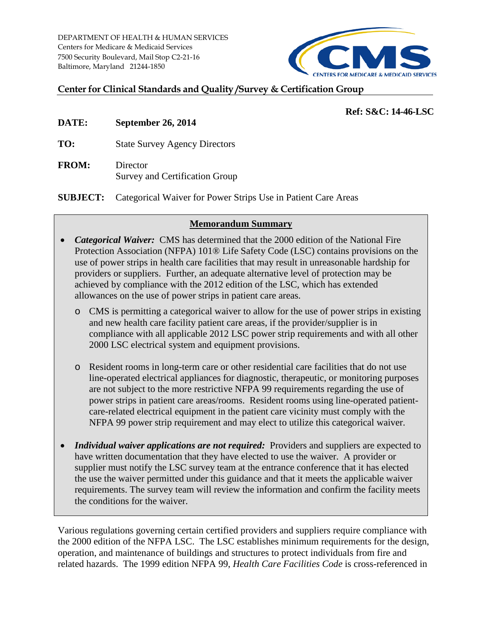DEPARTMENT OF HEALTH & HUMAN SERVICES Centers for Medicare & Medicaid Services 7500 Security Boulevard, Mail Stop C2-21-16 Baltimore, Maryland 21244-1850



### **Center for Clinical Standards and Quality /Survey & Certification Group**

#### **Ref: S&C: 14-46-LSC**

- **DATE: September 26, 2014**
- **TO:** State Survey Agency Directors
- **FROM:** Director Survey and Certification Group

**SUBJECT:** Categorical Waiver for Power Strips Use in Patient Care Areas

### **Memorandum Summary**

- *Categorical Waiver:* CMS has determined that the 2000 edition of the National Fire Protection Association (NFPA) 101® Life Safety Code (LSC) contains provisions on the use of power strips in health care facilities that may result in unreasonable hardship for providers or suppliers. Further, an adequate alternative level of protection may be achieved by compliance with the 2012 edition of the LSC, which has extended allowances on the use of power strips in patient care areas.
	- o CMS is permitting a categorical waiver to allow for the use of power strips in existing and new health care facility patient care areas, if the provider/supplier is in compliance with all applicable 2012 LSC power strip requirements and with all other 2000 LSC electrical system and equipment provisions.
	- o Resident rooms in long-term care or other residential care facilities that do not use line-operated electrical appliances for diagnostic, therapeutic, or monitoring purposes are not subject to the more restrictive NFPA 99 requirements regarding the use of power strips in patient care areas/rooms. Resident rooms using line-operated patientcare-related electrical equipment in the patient care vicinity must comply with the NFPA 99 power strip requirement and may elect to utilize this categorical waiver.
- *Individual waiver applications are not required:* Providers and suppliers are expected to have written documentation that they have elected to use the waiver. A provider or supplier must notify the LSC survey team at the entrance conference that it has elected the use the waiver permitted under this guidance and that it meets the applicable waiver requirements. The survey team will review the information and confirm the facility meets the conditions for the waiver.

Various regulations governing certain certified providers and suppliers require compliance with the 2000 edition of the NFPA LSC. The LSC establishes minimum requirements for the design, operation, and maintenance of buildings and structures to protect individuals from fire and related hazards. The 1999 edition NFPA 99, *Health Care Facilities Code* is cross-referenced in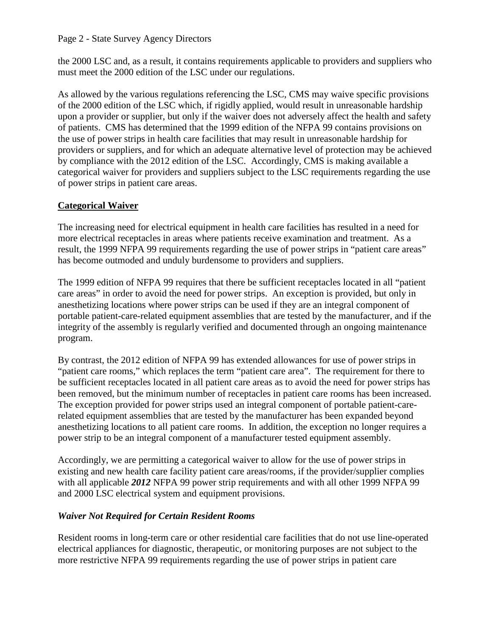### Page 2 - State Survey Agency Directors

the 2000 LSC and, as a result, it contains requirements applicable to providers and suppliers who must meet the 2000 edition of the LSC under our regulations.

As allowed by the various regulations referencing the LSC, CMS may waive specific provisions of the 2000 edition of the LSC which, if rigidly applied, would result in unreasonable hardship upon a provider or supplier, but only if the waiver does not adversely affect the health and safety of patients. CMS has determined that the 1999 edition of the NFPA 99 contains provisions on the use of power strips in health care facilities that may result in unreasonable hardship for providers or suppliers, and for which an adequate alternative level of protection may be achieved by compliance with the 2012 edition of the LSC. Accordingly, CMS is making available a categorical waiver for providers and suppliers subject to the LSC requirements regarding the use of power strips in patient care areas.

# **Categorical Waiver**

The increasing need for electrical equipment in health care facilities has resulted in a need for more electrical receptacles in areas where patients receive examination and treatment. As a result, the 1999 NFPA 99 requirements regarding the use of power strips in "patient care areas" has become outmoded and unduly burdensome to providers and suppliers.

The 1999 edition of NFPA 99 requires that there be sufficient receptacles located in all "patient care areas" in order to avoid the need for power strips. An exception is provided, but only in anesthetizing locations where power strips can be used if they are an integral component of portable patient-care-related equipment assemblies that are tested by the manufacturer, and if the integrity of the assembly is regularly verified and documented through an ongoing maintenance program.

By contrast, the 2012 edition of NFPA 99 has extended allowances for use of power strips in "patient care rooms," which replaces the term "patient care area". The requirement for there to be sufficient receptacles located in all patient care areas as to avoid the need for power strips has been removed, but the minimum number of receptacles in patient care rooms has been increased. The exception provided for power strips used an integral component of portable patient-carerelated equipment assemblies that are tested by the manufacturer has been expanded beyond anesthetizing locations to all patient care rooms. In addition, the exception no longer requires a power strip to be an integral component of a manufacturer tested equipment assembly.

Accordingly, we are permitting a categorical waiver to allow for the use of power strips in existing and new health care facility patient care areas/rooms, if the provider/supplier complies with all applicable *2012* NFPA 99 power strip requirements and with all other 1999 NFPA 99 and 2000 LSC electrical system and equipment provisions.

# *Waiver Not Required for Certain Resident Rooms*

Resident rooms in long-term care or other residential care facilities that do not use line-operated electrical appliances for diagnostic, therapeutic, or monitoring purposes are not subject to the more restrictive NFPA 99 requirements regarding the use of power strips in patient care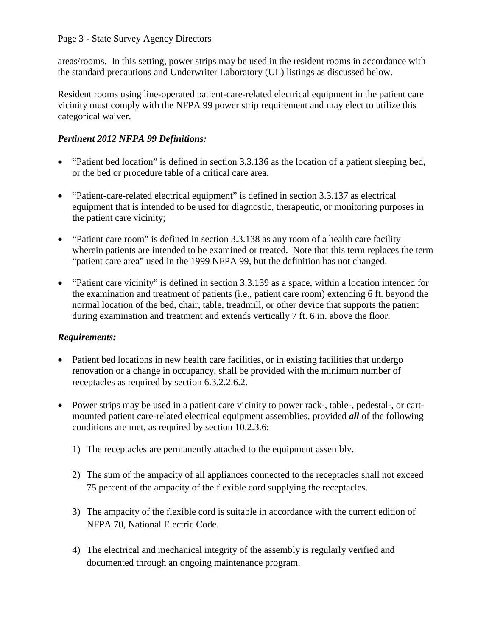### Page 3 - State Survey Agency Directors

areas/rooms. In this setting, power strips may be used in the resident rooms in accordance with the standard precautions and Underwriter Laboratory (UL) listings as discussed below.

Resident rooms using line-operated patient-care-related electrical equipment in the patient care vicinity must comply with the NFPA 99 power strip requirement and may elect to utilize this categorical waiver.

# *Pertinent 2012 NFPA 99 Definitions:*

- "Patient bed location" is defined in section 3.3.136 as the location of a patient sleeping bed, or the bed or procedure table of a critical care area.
- "Patient-care-related electrical equipment" is defined in section 3.3.137 as electrical equipment that is intended to be used for diagnostic, therapeutic, or monitoring purposes in the patient care vicinity;
- "Patient care room" is defined in section 3.3.138 as any room of a health care facility wherein patients are intended to be examined or treated. Note that this term replaces the term "patient care area" used in the 1999 NFPA 99, but the definition has not changed.
- "Patient care vicinity" is defined in section 3.3.139 as a space, within a location intended for the examination and treatment of patients (i.e., patient care room) extending 6 ft. beyond the normal location of the bed, chair, table, treadmill, or other device that supports the patient during examination and treatment and extends vertically 7 ft. 6 in. above the floor.

# *Requirements:*

- Patient bed locations in new health care facilities, or in existing facilities that undergo renovation or a change in occupancy, shall be provided with the minimum number of receptacles as required by section 6.3.2.2.6.2.
- Power strips may be used in a patient care vicinity to power rack-, table-, pedestal-, or cartmounted patient care-related electrical equipment assemblies, provided *all* of the following conditions are met, as required by section 10.2.3.6:
	- 1) The receptacles are permanently attached to the equipment assembly.
	- 2) The sum of the ampacity of all appliances connected to the receptacles shall not exceed 75 percent of the ampacity of the flexible cord supplying the receptacles.
	- 3) The ampacity of the flexible cord is suitable in accordance with the current edition of NFPA 70, National Electric Code.
	- 4) The electrical and mechanical integrity of the assembly is regularly verified and documented through an ongoing maintenance program.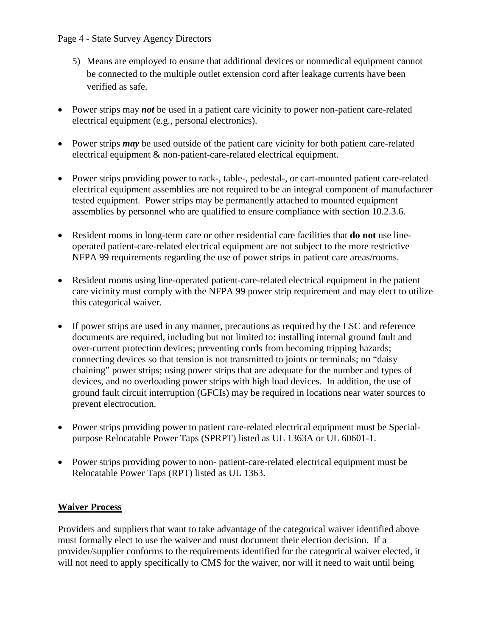### Page 4 - State Survey Agency Directors

- 5) Means are employed to ensure that additional devices or nonmedical equipment cannot be connected to the multiple outlet extension cord after leakage currents have been verified as safe.
- Power strips may *not* be used in a patient care vicinity to power non-patient care-related electrical equipment (e.g., personal electronics).
- Power strips *may* be used outside of the patient care vicinity for both patient care-related electrical equipment & non-patient-care-related electrical equipment.
- Power strips providing power to rack-, table-, pedestal-, or cart-mounted patient care-related electrical equipment assemblies are not required to be an integral component of manufacturer tested equipment. Power strips may be permanently attached to mounted equipment assemblies by personnel who are qualified to ensure compliance with section 10.2.3.6.
- Resident rooms in long-term care or other residential care facilities that **do not** use lineoperated patient-care-related electrical equipment are not subject to the more restrictive NFPA 99 requirements regarding the use of power strips in patient care areas/rooms.
- Resident rooms using line-operated patient-care-related electrical equipment in the patient care vicinity must comply with the NFPA 99 power strip requirement and may elect to utilize this categorical waiver.
- If power strips are used in any manner, precautions as required by the LSC and reference documents are required, including but not limited to: installing internal ground fault and over-current protection devices; preventing cords from becoming tripping hazards; connecting devices so that tension is not transmitted to joints or terminals; no "daisy chaining" power strips; using power strips that are adequate for the number and types of devices, and no overloading power strips with high load devices. In addition, the use of ground fault circuit interruption (GFCIs) may be required in locations near water sources to prevent electrocution.
- Power strips providing power to patient care-related electrical equipment must be Specialpurpose Relocatable Power Taps (SPRPT) listed as UL 1363A or UL 60601-1.
- Power strips providing power to non- patient-care-related electrical equipment must be Relocatable Power Taps (RPT) listed as UL 1363.

# **Waiver Process**

Providers and suppliers that want to take advantage of the categorical waiver identified above must formally elect to use the waiver and must document their election decision. If a provider/supplier conforms to the requirements identified for the categorical waiver elected, it will not need to apply specifically to CMS for the waiver, nor will it need to wait until being